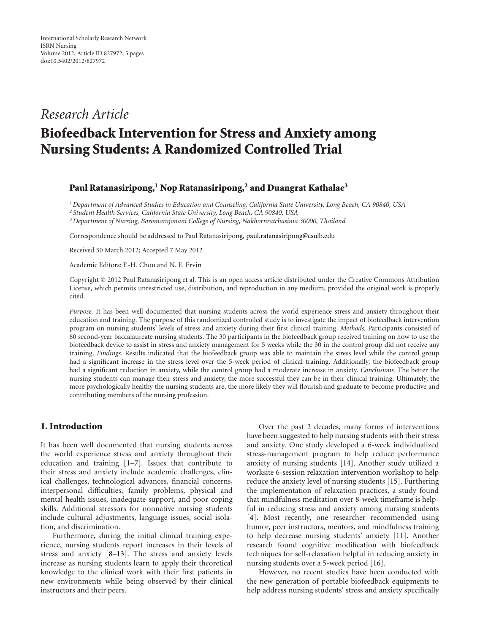# *Research Article*

# **Biofeedback Intervention for Stress and Anxiety among Nursing Students: A Randomized Controlled Trial**

#### **Paul Ratanasiripong,1 Nop Ratanasiripong,2 and Duangrat Kathalae3**

*1Department of Advanced Studies in Education and Counseling, California State University, Long Beach, CA 90840, USA*

*<sup>2</sup> Student Health Services, California State University, Long Beach, CA 90840, USA*

*3Department of Nursing, Boromarajonani College of Nursing, Nakhornratchasima 30000, Thailand*

Correspondence should be addressed to Paul Ratanasiripong, paul.ratanasiripong@csulb.edu

Received 30 March 2012; Accepted 7 May 2012

Academic Editors: F.-H. Chou and N. E. Ervin

Copyright © 2012 Paul Ratanasiripong et al. This is an open access article distributed under the Creative Commons Attribution License, which permits unrestricted use, distribution, and reproduction in any medium, provided the original work is properly cited.

*Purpose.* It has been well documented that nursing students across the world experience stress and anxiety throughout their education and training. The purpose of this randomized controlled study is to investigate the impact of biofeedback intervention program on nursing students' levels of stress and anxiety during their first clinical training. *Methods.* Participants consisted of 60 second-year baccalaureate nursing students. The 30 participants in the biofeedback group received training on how to use the biofeedback device to assist in stress and anxiety management for 5 weeks while the 30 in the control group did not receive any training. *Findings.* Results indicated that the biofeedback group was able to maintain the stress level while the control group had a significant increase in the stress level over the 5-week period of clinical training. Additionally, the biofeedback group had a significant reduction in anxiety, while the control group had a moderate increase in anxiety. *Conclusions.* The better the nursing students can manage their stress and anxiety, the more successful they can be in their clinical training. Ultimately, the more psychologically healthy the nursing students are, the more likely they will flourish and graduate to become productive and contributing members of the nursing profession.

### **1. Introduction**

It has been well documented that nursing students across the world experience stress and anxiety throughout their education and training [1–7]. Issues that contribute to their stress and anxiety include academic challenges, clinical challenges, technological advances, financial concerns, interpersonal difficulties, family problems, physical and mental health issues, inadequate support, and poor coping skills. Additional stressors for nonnative nursing students include cultural adjustments, language issues, social isolation, and discrimination.

Furthermore, during the initial clinical training experience, nursing students report increases in their levels of stress and anxiety [8–13]. The stress and anxiety levels increase as nursing students learn to apply their theoretical knowledge to the clinical work with their first patients in new environments while being observed by their clinical instructors and their peers.

Over the past 2 decades, many forms of interventions have been suggested to help nursing students with their stress and anxiety. One study developed a 6-week individualized stress-management program to help reduce performance anxiety of nursing students [14]. Another study utilized a worksite 6-session relaxation intervention workshop to help reduce the anxiety level of nursing students [15]. Furthering the implementation of relaxation practices, a study found that mindfulness meditation over 8-week timeframe is helpful in reducing stress and anxiety among nursing students [4]. Most recently, one researcher recommended using humor, peer instructors, mentors, and mindfulness training to help decrease nursing students' anxiety [11]. Another research found cognitive modification with biofeedback techniques for self-relaxation helpful in reducing anxiety in nursing students over a 5-week period [16].

However, no recent studies have been conducted with the new generation of portable biofeedback equipments to help address nursing students' stress and anxiety specifically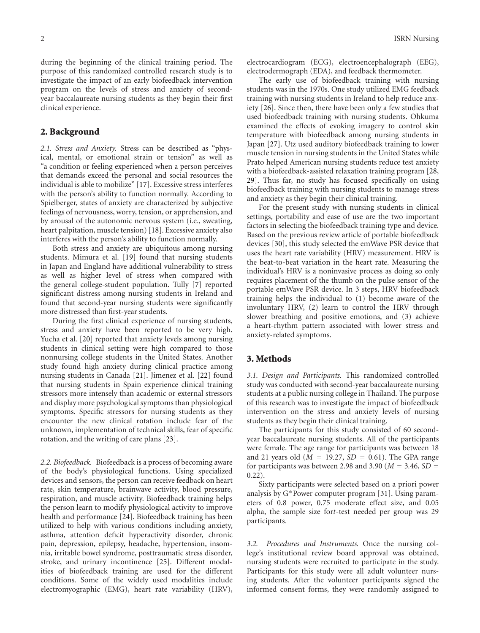during the beginning of the clinical training period. The purpose of this randomized controlled research study is to investigate the impact of an early biofeedback intervention program on the levels of stress and anxiety of secondyear baccalaureate nursing students as they begin their first clinical experience.

#### **2. Background**

*2.1. Stress and Anxiety.* Stress can be described as "physical, mental, or emotional strain or tension" as well as "a condition or feeling experienced when a person perceives that demands exceed the personal and social resources the individual is able to mobilize" [17]. Excessive stress interferes with the person's ability to function normally. According to Spielberger, states of anxiety are characterized by subjective feelings of nervousness, worry, tension, or apprehension, and by arousal of the autonomic nervous system (i.e., sweating, heart palpitation, muscle tension) [18]. Excessive anxiety also interferes with the person's ability to function normally.

Both stress and anxiety are ubiquitous among nursing students. Mimura et al. [19] found that nursing students in Japan and England have additional vulnerability to stress as well as higher level of stress when compared with the general college-student population. Tully [7] reported significant distress among nursing students in Ireland and found that second-year nursing students were significantly more distressed than first-year students.

During the first clinical experience of nursing students, stress and anxiety have been reported to be very high. Yucha et al. [20] reported that anxiety levels among nursing students in clinical setting were high compared to those nonnursing college students in the United States. Another study found high anxiety during clinical practice among nursing students in Canada [21]. Jimenez et al. [22] found that nursing students in Spain experience clinical training stressors more intensely than academic or external stressors and display more psychological symptoms than physiological symptoms. Specific stressors for nursing students as they encounter the new clinical rotation include fear of the unknown, implementation of technical skills, fear of specific rotation, and the writing of care plans [23].

*2.2. Biofeedback.* Biofeedback is a process of becoming aware of the body's physiological functions. Using specialized devices and sensors, the person can receive feedback on heart rate, skin temperature, brainwave activity, blood pressure, respiration, and muscle activity. Biofeedback training helps the person learn to modify physiological activity to improve health and performance [24]. Biofeedback training has been utilized to help with various conditions including anxiety, asthma, attention deficit hyperactivity disorder, chronic pain, depression, epilepsy, headache, hypertension, insomnia, irritable bowel syndrome, posttraumatic stress disorder, stroke, and urinary incontinence [25]. Different modalities of biofeedback training are used for the different conditions. Some of the widely used modalities include electromyographic (EMG), heart rate variability (HRV),

electrocardiogram (ECG), electroencephalograph (EEG), electrodermograph (EDA), and feedback thermometer.

The early use of biofeedback training with nursing students was in the 1970s. One study utilized EMG feedback training with nursing students in Ireland to help reduce anxiety [26]. Since then, there have been only a few studies that used biofeedback training with nursing students. Ohkuma examined the effects of evoking imagery to control skin temperature with biofeedback among nursing students in Japan [27]. Utz used auditory biofeedback training to lower muscle tension in nursing students in the United States while Prato helped American nursing students reduce test anxiety with a biofeedback-assisted relaxation training program [28, 29]. Thus far, no study has focused specifically on using biofeedback training with nursing students to manage stress and anxiety as they begin their clinical training.

For the present study with nursing students in clinical settings, portability and ease of use are the two important factors in selecting the biofeedback training type and device. Based on the previous review article of portable biofeedback devices [30], this study selected the emWave PSR device that uses the heart rate variability (HRV) measurement. HRV is the beat-to-beat variation in the heart rate. Measuring the individual's HRV is a noninvasive process as doing so only requires placement of the thumb on the pulse sensor of the portable emWave PSR device. In 3 steps, HRV biofeedback training helps the individual to (1) become aware of the involuntary HRV, (2) learn to control the HRV through slower breathing and positive emotions, and (3) achieve a heart-rhythm pattern associated with lower stress and anxiety-related symptoms.

#### **3. Methods**

*3.1. Design and Participants.* This randomized controlled study was conducted with second-year baccalaureate nursing students at a public nursing college in Thailand. The purpose of this research was to investigate the impact of biofeedback intervention on the stress and anxiety levels of nursing students as they begin their clinical training.

The participants for this study consisted of 60 secondyear baccalaureate nursing students. All of the participants were female. The age range for participants was between 18 and 21 years old (*<sup>M</sup>* <sup>=</sup> <sup>19</sup>*.*27, *SD* <sup>=</sup> <sup>0</sup>*.*61). The GPA range for participants was between 2.98 and 3.90 ( $M = 3.46$ ,  $SD =$ 0*.*22).

Sixty participants were selected based on a priori power analysis by G∗Power computer program [31]. Using parameters of 0.8 power, 0.75 moderate effect size, and 0.05 alpha, the sample size for*t*-test needed per group was 29 participants.

*3.2. Procedures and Instruments.* Once the nursing college's institutional review board approval was obtained, nursing students were recruited to participate in the study. Participants for this study were all adult volunteer nursing students. After the volunteer participants signed the informed consent forms, they were randomly assigned to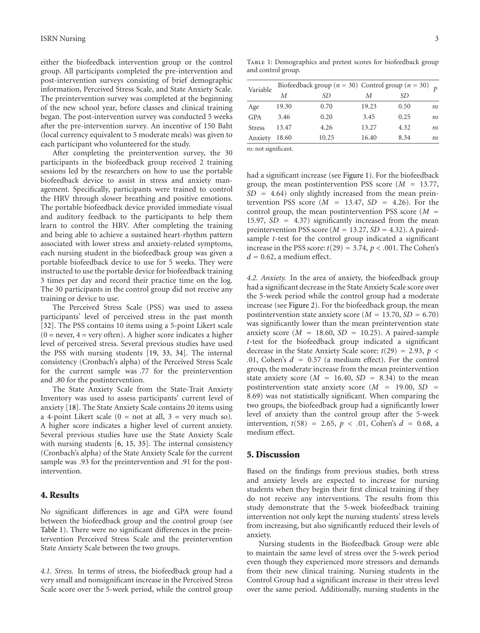either the biofeedback intervention group or the control group. All participants completed the pre-intervention and post-intervention surveys consisting of brief demographic information, Perceived Stress Scale, and State Anxiety Scale. The preintervention survey was completed at the beginning of the new school year, before classes and clinical training began. The post-intervention survey was conducted 5 weeks after the pre-intervention survey. An incentive of 150 Baht (local currency equivalent to 5 moderate meals) was given to each participant who volunteered for the study.

After completing the preintervention survey, the 30 participants in the biofeedback group received 2 training sessions led by the researchers on how to use the portable biofeedback device to assist in stress and anxiety management. Specifically, participants were trained to control the HRV through slower breathing and positive emotions. The portable biofeedback device provided immediate visual and auditory feedback to the participants to help them learn to control the HRV. After completing the training and being able to achieve a sustained heart-rhythm pattern associated with lower stress and anxiety-related symptoms, each nursing student in the biofeedback group was given a portable biofeedback device to use for 5 weeks. They were instructed to use the portable device for biofeedback training 3 times per day and record their practice time on the log. The 30 participants in the control group did not receive any training or device to use.

The Perceived Stress Scale (PSS) was used to assess participants' level of perceived stress in the past month [32]. The PSS contains 10 items using a 5-point Likert scale  $(0 = never, 4 = very often)$ . A higher score indicates a higher level of perceived stress. Several previous studies have used the PSS with nursing students [19, 33, 34]. The internal consistency (Cronbach's alpha) of the Perceived Stress Scale for the current sample was .77 for the preintervention and .80 for the postintervention.

The State Anxiety Scale from the State-Trait Anxiety Inventory was used to assess participants' current level of anxiety [18]. The State Anxiety Scale contains 20 items using a 4-point Likert scale  $(0 = not at all, 3 = very much so).$ A higher score indicates a higher level of current anxiety. Several previous studies have use the State Anxiety Scale with nursing students [6, 15, 35]. The internal consistency (Cronbach's alpha) of the State Anxiety Scale for the current sample was .93 for the preintervention and .91 for the postintervention.

#### **4. Results**

No significant differences in age and GPA were found between the biofeedback group and the control group (see Table 1). There were no significant differences in the preintervention Perceived Stress Scale and the preintervention State Anxiety Scale between the two groups.

*4.1. Stress.* In terms of stress, the biofeedback group had a very small and nonsignificant increase in the Perceived Stress Scale score over the 5-week period, while the control group

Table 1: Demographics and pretest scores for biofeedback group and control group.

| Variable      | Biofeedback group ( $n = 30$ ) Control group ( $n = 30$ ) $p = n$ |       |       |      |    |
|---------------|-------------------------------------------------------------------|-------|-------|------|----|
|               | М                                                                 | SD    | М     | SD   |    |
| Age           | 19.30                                                             | 0.70  | 19.23 | 0.50 | ns |
| <b>GPA</b>    | 3.46                                                              | 0.20  | 3.45  | 0.25 | ns |
| <b>Stress</b> | 13.47                                                             | 4.26  | 13.27 | 4.32 | ns |
| Anxiety       | 18.60                                                             | 10.25 | 16.40 | 8.34 | ns |

*ns*: not significant.

had a significant increase (see Figure 1). For the biofeedback group, the mean postintervention PSS score (*<sup>M</sup>* <sup>=</sup> <sup>13</sup>*.*77, *SD* <sup>=</sup> <sup>4</sup>*.*64) only slightly increased from the mean preintervention PSS score  $(M = 13.47, SD = 4.26)$ . For the control group, the mean postintervention PSS score (*<sup>M</sup>* <sup>=</sup> <sup>15</sup>*.*97, *SD* <sup>=</sup> <sup>4</sup>*.*37) significantly increased from the mean preintervention PSS score ( $M = 13.27$ ,  $SD = 4.32$ ). A pairedsample *t*-test for the control group indicated a significant increase in the PSS score:  $t(29) = 3.74$ ,  $p < .001$ . The Cohen's  $d = 0.62$ , a medium effect.

*4.2. Anxiety.* In the area of anxiety, the biofeedback group had a significant decrease in the State Anxiety Scale score over the 5-week period while the control group had a moderate increase (see Figure 2). For the biofeedback group, the mean postintervention state anxiety score ( $M = 13.70$ ,  $SD = 6.70$ ) was significantly lower than the mean preintervention state anxiety score  $(M = 18.60, SD = 10.25)$ . A paired-sample *t*-test for the biofeedback group indicated a significant decrease in the State Anxiety Scale score:  $t(29) = 2.93$ ,  $p <$ *.*01, Cohen's *<sup>d</sup>* <sup>=</sup> <sup>0</sup>*.*57 (a medium effect). For the control group, the moderate increase from the mean preintervention state anxiety score  $(M = 16.40, SD = 8.34)$  to the mean postintervention state anxiety score (*<sup>M</sup>* <sup>=</sup> <sup>19</sup>*.*00, *SD* <sup>=</sup> 8*.*69) was not statistically significant. When comparing the two groups, the biofeedback group had a significantly lower level of anxiety than the control group after the 5-week intervention,  $t(58) = 2.65$ ,  $p < .01$ , Cohen's  $d = 0.68$ , a medium effect.

#### **5. Discussion**

Based on the findings from previous studies, both stress and anxiety levels are expected to increase for nursing students when they begin their first clinical training if they do not receive any interventions. The results from this study demonstrate that the 5-week biofeedback training intervention not only kept the nursing students' stress levels from increasing, but also significantly reduced their levels of anxiety.

Nursing students in the Biofeedback Group were able to maintain the same level of stress over the 5-week period even though they experienced more stressors and demands from their new clinical training. Nursing students in the Control Group had a significant increase in their stress level over the same period. Additionally, nursing students in the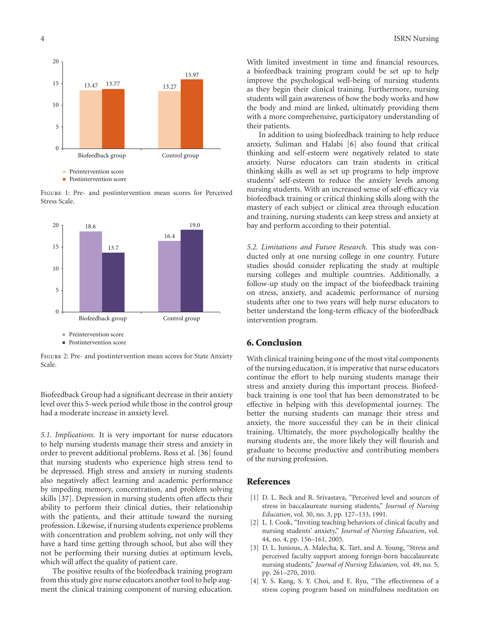

**Postintervention score** 

Figure 1: Pre- and postintervention mean scores for Perceived Stress Scale.



Figure 2: Pre- and postintervention mean scores for State Anxiety Scale.

Biofeedback Group had a significant decrease in their anxiety level over this 5-week period while those in the control group had a moderate increase in anxiety level.

*5.1. Implications.* It is very important for nurse educators to help nursing students manage their stress and anxiety in order to prevent additional problems. Ross et al. [36] found that nursing students who experience high stress tend to be depressed. High stress and anxiety in nursing students also negatively affect learning and academic performance by impeding memory, concentration, and problem solving skills [37]. Depression in nursing students often affects their ability to perform their clinical duties, their relationship with the patients, and their attitude toward the nursing profession. Likewise, if nursing students experience problems with concentration and problem solving, not only will they have a hard time getting through school, but also will they not be performing their nursing duties at optimum levels, which will affect the quality of patient care.

The positive results of the biofeedback training program from this study give nurse educators another tool to help augment the clinical training component of nursing education.

With limited investment in time and financial resources, a biofeedback training program could be set up to help improve the psychological well-being of nursing students as they begin their clinical training. Furthermore, nursing students will gain awareness of how the body works and how the body and mind are linked, ultimately providing them with a more comprehensive, participatory understanding of their patients.

In addition to using biofeedback training to help reduce anxiety, Suliman and Halabi [6] also found that critical thinking and self-esteem were negatively related to state anxiety. Nurse educators can train students in critical thinking skills as well as set up programs to help improve students' self-esteem to reduce the anxiety levels among nursing students. With an increased sense of self-efficacy via biofeedback training or critical thinking skills along with the mastery of each subject or clinical area through education and training, nursing students can keep stress and anxiety at bay and perform according to their potential.

*5.2. Limitations and Future Research.* This study was conducted only at one nursing college in one country. Future studies should consider replicating the study at multiple nursing colleges and multiple countries. Additionally, a follow-up study on the impact of the biofeedback training on stress, anxiety, and academic performance of nursing students after one to two years will help nurse educators to better understand the long-term efficacy of the biofeedback intervention program.

## **6. Conclusion**

With clinical training being one of the most vital components of the nursing education, it is imperative that nurse educators continue the effort to help nursing students manage their stress and anxiety during this important process. Biofeedback training is one tool that has been demonstrated to be effective in helping with this developmental journey. The better the nursing students can manage their stress and anxiety, the more successful they can be in their clinical training. Ultimately, the more psychologically healthy the nursing students are, the more likely they will flourish and graduate to become productive and contributing members of the nursing profession.

#### **References**

- [1] D. L. Beck and R. Srivastava, "Perceived level and sources of stress in baccalaureate nursing students," *Journal of Nursing Education*, vol. 30, no. 3, pp. 127–133, 1991.
- [2] L. J. Cook, "Inviting teaching behaviors of clinical faculty and nursing students' anxiety," *Journal of Nursing Education*, vol. 44, no. 4, pp. 156–161, 2005.
- [3] D. L. Junious, A. Malecha, K. Tart, and A. Young, "Stress and perceived faculty support among foreign-born baccalaureate nursing students," *Journal of Nursing Education*, vol. 49, no. 5, pp. 261–270, 2010.
- [4] Y. S. Kang, S. Y. Choi, and E. Ryu, "The effectiveness of a stress coping program based on mindfulness meditation on